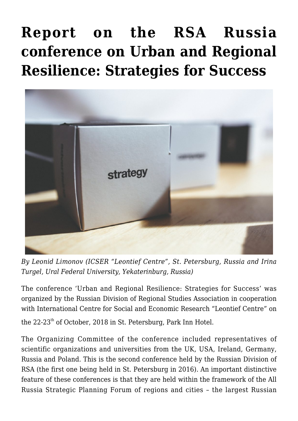## **[Report on the RSA Russia](https://regions.regionalstudies.org/ezine/article/report-on-the-rsa-russia-conference-on-urban-and-regional-resiliencestrategies-for-success/) [conference on Urban and Regional](https://regions.regionalstudies.org/ezine/article/report-on-the-rsa-russia-conference-on-urban-and-regional-resiliencestrategies-for-success/) [Resilience: Strategies for Success](https://regions.regionalstudies.org/ezine/article/report-on-the-rsa-russia-conference-on-urban-and-regional-resiliencestrategies-for-success/)**



*By [Leonid Limonov](http://www.leontief-centre.ru/content126&lang=l2) (ICSER "Leontief Centre", St. Petersburg, Russia and [Irina](http://r-economy.ru/turgel-irina-dmitrievna/) [Turgel](http://r-economy.ru/turgel-irina-dmitrievna/), Ural Federal University, Yekaterinburg, Russia)*

The conference 'Urban and Regional Resilience: Strategies for Success' was organized by the [Russian Division of Regional Studies Association](https://www.regionalstudies.org/bsd/russia/) in cooperation with International [Centre for Social and Economic Research "Leontief Centre"](http://www.leontief-centre.ru/?lang=l2) on the 22-23<sup>th</sup> of October, 2018 in St. Petersburg, Park Inn Hotel.

The Organizing Committee of the conference included representatives of scientific organizations and universities from the UK, USA, Ireland, Germany, Russia and Poland. This is the second conference held by the [Russian Division of](https://www.regionalstudies.org/bsd/russia/) [RSA](https://www.regionalstudies.org/bsd/russia/) (the first one being held in St. Petersburg in 2016). An important distinctive feature of these conferences is that they are held within the framework of the All Russia Strategic Planning Forum of regions and cities – the largest Russian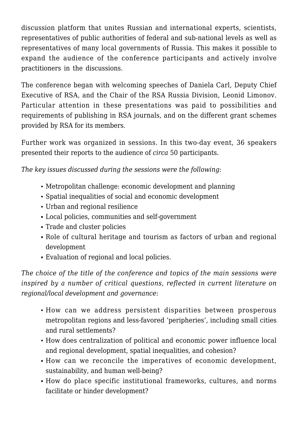discussion platform that unites Russian and international experts, scientists, representatives of public authorities of federal and sub-national levels as well as representatives of many local governments of Russia. This makes it possible to expand the audience of the conference participants and actively involve practitioners in the discussions.

The conference began with welcoming speeches of Daniela Carl, Deputy Chief Executive of RSA, and the Chair of the RSA Russia Division, Leonid Limonov. Particular attention in these presentations was paid to possibilities and requirements of publishing in RSA journals, and on the different grant schemes provided by RSA for its members.

Further work was organized in sessions. In this two-day event, 36 speakers presented their reports to the audience of *circa* 50 participants.

*The key issues discussed during the sessions were the following*:

- Metropolitan challenge: economic development and planning
- Spatial inequalities of social and economic development
- Urban and regional resilience
- Local policies, communities and self-government
- Trade and cluster policies
- Role of cultural heritage and tourism as factors of urban and regional development
- Evaluation of regional and local policies.

*The choice of the title of the conference and topics of the main sessions were inspired by a number of critical questions, reflected in current literature on regional/local development and governance*:

- How can we address persistent disparities between prosperous metropolitan regions and less-favored 'peripheries', including small cities and rural settlements?
- How does centralization of political and economic power influence local and regional development, spatial inequalities, and cohesion?
- How can we reconcile the imperatives of economic development, sustainability, and human well-being?
- How do place specific institutional frameworks, cultures, and norms facilitate or hinder development?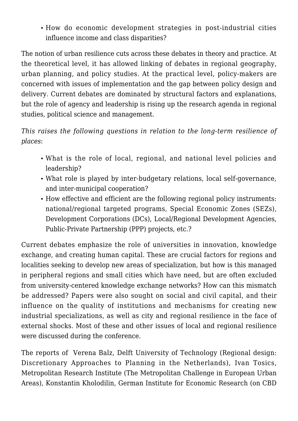How do economic development strategies in post-industrial cities influence income and class disparities?

The notion of urban resilience cuts across these debates in theory and practice. At the theoretical level, it has allowed linking of debates in regional geography, urban planning, and policy studies. At the practical level, policy-makers are concerned with issues of implementation and the gap between policy design and delivery. Current debates are dominated by structural factors and explanations, but the role of agency and leadership is rising up the research agenda in regional studies, political science and management.

*This raises the following questions in relation to the long-term resilience of places*:

- What is the role of local, regional, and national level policies and leadership?
- What role is played by inter-budgetary relations, local self-governance, and inter-municipal cooperation?
- How effective and efficient are the following regional policy instruments: national/regional targeted programs, Special Economic Zones (SEZs), Development Corporations (DCs), Local/Regional Development Agencies, Public-Private Partnership (PPP) projects, etc.?

Current debates emphasize the role of universities in innovation, knowledge exchange, and creating human capital. These are crucial factors for regions and localities seeking to develop new areas of specialization, but how is this managed in peripheral regions and small cities which have need, but are often excluded from university-centered knowledge exchange networks? How can this mismatch be addressed? Papers were also sought on social and civil capital, and their influence on the quality of institutions and mechanisms for creating new industrial specializations, as well as city and regional resilience in the face of external shocks. Most of these and other issues of local and regional resilience were discussed during the conference.

The reports of Verena Balz, Delft University of Technology (Regional design: Discretionary Approaches to Planning in the Netherlands), Ivan Tosics, Metropolitan Research Institute (The Metropolitan Challenge in European Urban Areas), Konstantin Kholodilin, German Institute for Economic Research (on CBD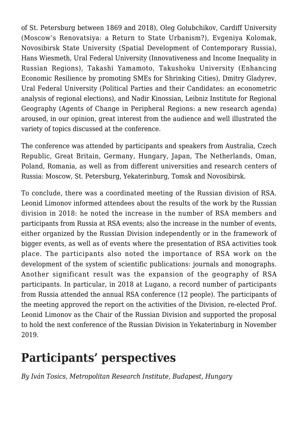of St. Petersburg between 1869 and 2018), Oleg Golubchikov, Cardiff University (Moscow's Renovatsiya: a Return to State Urbanism?), Evgeniya Kolomak, Novosibirsk State University (Spatial Development of Contemporary Russia), Hans Wiesmeth, Ural Federal University (Innovativeness and Income Inequality in Russian Regions), Takashi Yamamoto, Takushoku University (Enhancing Economic Resilience by promoting SMEs for Shrinking Cities), Dmitry Gladyrev, Ural Federal University (Political Parties and their Candidates: an econometric analysis of regional elections), and Nadir Kinossian, Leibniz Institute for Regional Geography (Agents of Change in Peripheral Regions: a new research agenda) aroused, in our opinion, great interest from the audience and well illustrated the variety of topics discussed at the conference.

The conference was attended by participants and speakers from Australia, Czech Republic, Great Britain, Germany, Hungary, Japan, The Netherlands, Oman, Poland, Romania, as well as from different universities and research centers of Russia: Moscow, St. Petersburg, Yekaterinburg, Tomsk and Novosibirsk.

To conclude, there was a coordinated meeting of the Russian division of RSA. Leonid Limonov informed attendees about the results of the work by the Russian division in 2018: he noted the increase in the number of RSA members and participants from Russia at RSA events; also the increase in the number of events, either organized by the Russian Division independently or in the framework of bigger events, as well as of events where the presentation of RSA activities took place. The participants also noted the importance of RSA work on the development of the system of scientific publications: journals and monographs. Another significant result was the expansion of the geography of RSA participants. In particular, in 2018 at Lugano, a record number of participants from Russia attended the annual RSA conference (12 people). The participants of the meeting approved the report on the activities of the Division, re-elected Prof. Leonid Limonov as the Chair of the Russian Division and supported the proposal to hold the next conference of the Russian Division in Yekaterinburg in November 2019.

## **Participants' perspectives**

*By [Iván Tosics](https://www.researchgate.net/profile/Ivan_Tosics), Metropolitan Research Institute, Budapest, Hungary*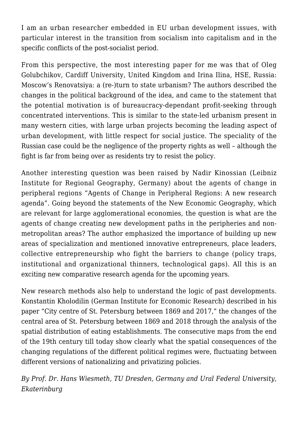I am an urban researcher embedded in EU urban development issues, with particular interest in the transition from socialism into capitalism and in the specific conflicts of the post-socialist period.

From this perspective, the most interesting paper for me was that of Oleg Golubchikov, Cardiff University, United Kingdom and Irina Ilina, HSE, Russia: Moscow's Renovatsiya: a (re-)turn to state urbanism? The authors described the changes in the political background of the idea, and came to the statement that the potential motivation is of bureaucracy-dependant profit-seeking through concentrated interventions. This is similar to the state-led urbanism present in many western cities, with large urban projects becoming the leading aspect of urban development, with little respect for social justice. The speciality of the Russian case could be the negligence of the property rights as well – although the fight is far from being over as residents try to resist the policy.

Another interesting question was been raised by Nadir Kinossian (Leibniz Institute for Regional Geography, Germany) about the agents of change in peripheral regions "Agents of Change in Peripheral Regions: A new research agenda". Going beyond the statements of the New Economic Geography, which are relevant for large agglomerational economies, the question is what are the agents of change creating new development paths in the peripheries and nonmetropolitan areas? The author emphasized the importance of building up new areas of specialization and mentioned innovative entrepreneurs, place leaders, collective entrepreneurship who fight the barriers to change (policy traps, institutional and organizational thinners, technological gaps). All this is an exciting new comparative research agenda for the upcoming years.

New research methods also help to understand the logic of past developments. Konstantin Kholodilin (German Institute for Economic Research) described in his paper "City centre of St. Petersburg between 1869 and 2017," the changes of the central area of St. Petersburg between 1869 and 2018 through the analysis of the spatial distribution of eating establishments. The consecutive maps from the end of the 19th century till today show clearly what the spatial consequences of the changing regulations of the different political regimes were, fluctuating between different versions of nationalizing and privatizing policies.

*By [Prof. Dr. Hans Wiesmeth,](https://www.saw-leipzig.de/de/mitglieder/wiesmethh) TU Dresden, Germany and Ural Federal University, Ekaterinburg*